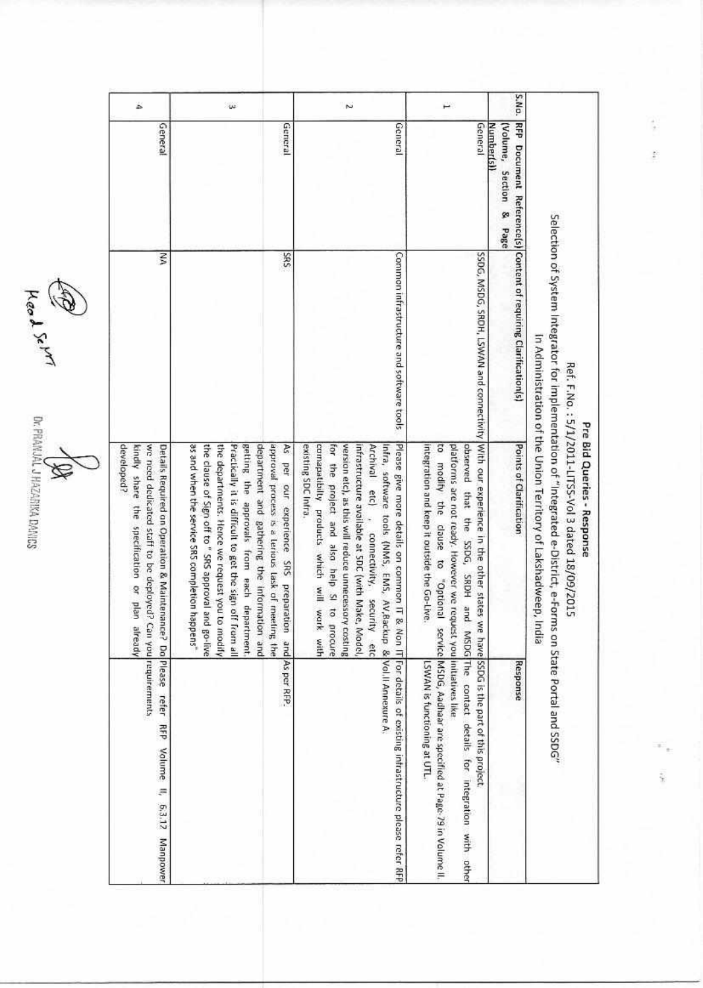| á.                                                                                                                                                                   | $\omega$                                                                                                                                                                                                                                                                                                                                                                                                                           | ž                                                                                                                                                                                                                                                                                                                                                                                                |                                                                                                                                                                                                                                            | S.No.                                                           |                                                                                                                                                                                                                                                                         |
|----------------------------------------------------------------------------------------------------------------------------------------------------------------------|------------------------------------------------------------------------------------------------------------------------------------------------------------------------------------------------------------------------------------------------------------------------------------------------------------------------------------------------------------------------------------------------------------------------------------|--------------------------------------------------------------------------------------------------------------------------------------------------------------------------------------------------------------------------------------------------------------------------------------------------------------------------------------------------------------------------------------------------|--------------------------------------------------------------------------------------------------------------------------------------------------------------------------------------------------------------------------------------------|-----------------------------------------------------------------|-------------------------------------------------------------------------------------------------------------------------------------------------------------------------------------------------------------------------------------------------------------------------|
| General                                                                                                                                                              | General                                                                                                                                                                                                                                                                                                                                                                                                                            | General                                                                                                                                                                                                                                                                                                                                                                                          | General                                                                                                                                                                                                                                    | <b>Number(s)</b><br>(Volume,<br>Section<br>ø<br>Page            |                                                                                                                                                                                                                                                                         |
| ξ                                                                                                                                                                    | SRS                                                                                                                                                                                                                                                                                                                                                                                                                                | Common infrastructure and software tools                                                                                                                                                                                                                                                                                                                                                         | SSDG, MSDG, SRDH, LSWAN and connectivity                                                                                                                                                                                                   | RFP Document Reference(s) Content of requiring Clarification(s) |                                                                                                                                                                                                                                                                         |
| developed?<br>Details Required on Operation & Maintenance? Do Please<br>kindly share the specification or plan<br>we need dedicated staff to be deployed?<br>already | Practically it is difficult to get the sign off from all<br>getting the approvals from each department,<br>department and gathering the information and<br>approval process is a terious task of meeting the<br>as and when the service SRS completion happens"<br>the clause of Sign off to" SRS approval and go-live<br>the departments. Hence we request you to modify<br>As per our experience SRS preparation and As per RFP. | existing SDC Infra.<br>comapatibilty products which will work with<br>version etc), as this will reduce unnecessory costing<br>Archival etc)<br>Please give more details on common IT<br>for the project and also help SI to<br>infrastructure available at SDC (with Make, Model,<br>Infra, software tools (NMS, EMS, AV,Backup & Vol.II Annexure A.<br>, connectivity, security etc<br>procure | With our experience in the other states<br>pacerved<br>s<br>platforms are not ready. However we request you initiatives like<br>integration and keep it outside the Go-Live.<br>modify the<br>that<br>clause<br>$\overline{a}$<br>Isnoido" | Points of Clarification                                         | Selection of System Integrator for implementation of "Integrated e-District, e-6-oms on State Portal and SSDG"<br>In Administration of the Union Territory of Lakshadweep,<br>Ref. F.No. : 5/1/2011-LITS5-Vol 3 dated 18/09/2015<br>Pre Bid Queries - Response<br>India |
| Can you requirements<br>refer<br><b>RFP</b><br>Volume II,<br>6.3.12<br>Manpower                                                                                      |                                                                                                                                                                                                                                                                                                                                                                                                                                    | & Non IT For details of existing infrastructure please refer RFP                                                                                                                                                                                                                                                                                                                                 | the SSDG, SRDH and MSDG The contact details for integration with other<br>we have SSDG is the part of this project.<br>service MSDG, Aadhaar are specified at Page-79 in Volume II.<br>LSWAN is functioning at UTL.                        | Response                                                        |                                                                                                                                                                                                                                                                         |

Leed Service Demand DA

Ç.  $\frac{1}{2}$ 

 $\frac{1}{2}$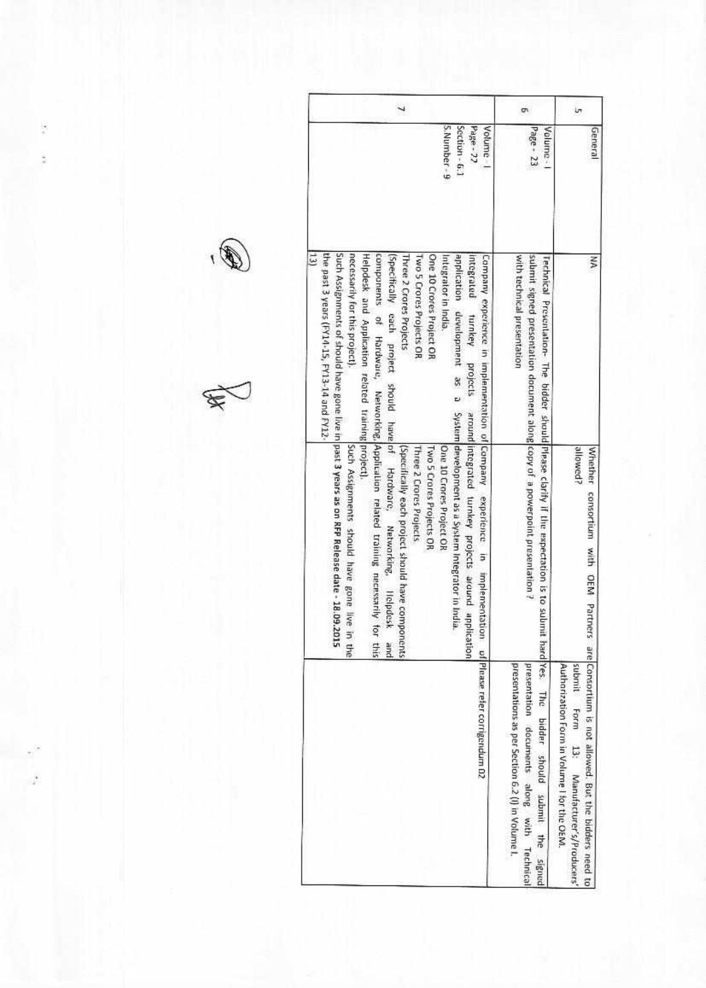| 5. Number - 9<br>Page - 27<br>Volume - I<br>Section - 6.1<br>Page - 23<br>Velume -<br>General<br>the past 3 years (FY14-15, FY13-14 and FY12-<br>Such Assignments of should have gone live in past 3 years as on RFP Release date - 18.09.<br>necessarily for this project).<br>13)<br>Helpdesk and Application related training project).<br>components of Hardware, Networking, Application related training necessarily for this<br>Two 5 Crores Projects OR<br>application development as a<br>(Specifically each project should have of Hardware, Networking, Helpdosk<br>One 10 Crores Project OR<br>Integrator in India.<br>Integrated<br>with technical presentation<br>submit signed presentation document along copy of a powerpoint presentation?<br>Company experience in implementation of Company<br>š<br>Three 2 Crores Projects<br>Fechnical Prosentation- The bidder should Please clarify if the expectation is to submit hard Nes.<br>turnkey projects<br>around integrated turnkey projects around application<br>System development as a System Integrator in India<br>Such Assignments should have gone live in the<br>(Specifically each project should have components<br>One 10 Crores Project OR<br>allowed?<br>Three 2 Crores Projects<br>Two 5 Crores Projects OR<br>Whether<br>experience in<br>consortium with OEM Partners are Consortium is not allowed. But the bidders need to<br>implementation<br>2015<br>pue<br>of Please refer corrigondum 02 |
|-------------------------------------------------------------------------------------------------------------------------------------------------------------------------------------------------------------------------------------------------------------------------------------------------------------------------------------------------------------------------------------------------------------------------------------------------------------------------------------------------------------------------------------------------------------------------------------------------------------------------------------------------------------------------------------------------------------------------------------------------------------------------------------------------------------------------------------------------------------------------------------------------------------------------------------------------------------------------------------------------------------------------------------------------------------------------------------------------------------------------------------------------------------------------------------------------------------------------------------------------------------------------------------------------------------------------------------------------------------------------------------------------------------------------------------------------------------------------------------|
|                                                                                                                                                                                                                                                                                                                                                                                                                                                                                                                                                                                                                                                                                                                                                                                                                                                                                                                                                                                                                                                                                                                                                                                                                                                                                                                                                                                                                                                                                     |
|                                                                                                                                                                                                                                                                                                                                                                                                                                                                                                                                                                                                                                                                                                                                                                                                                                                                                                                                                                                                                                                                                                                                                                                                                                                                                                                                                                                                                                                                                     |
| presentations as per Section 6.2 (I) in Volume I.<br>submit Form<br>presentation documents along with Technical<br>Authorization Form in Volume I for the OEM.                                                                                                                                                                                                                                                                                                                                                                                                                                                                                                                                                                                                                                                                                                                                                                                                                                                                                                                                                                                                                                                                                                                                                                                                                                                                                                                      |





ğ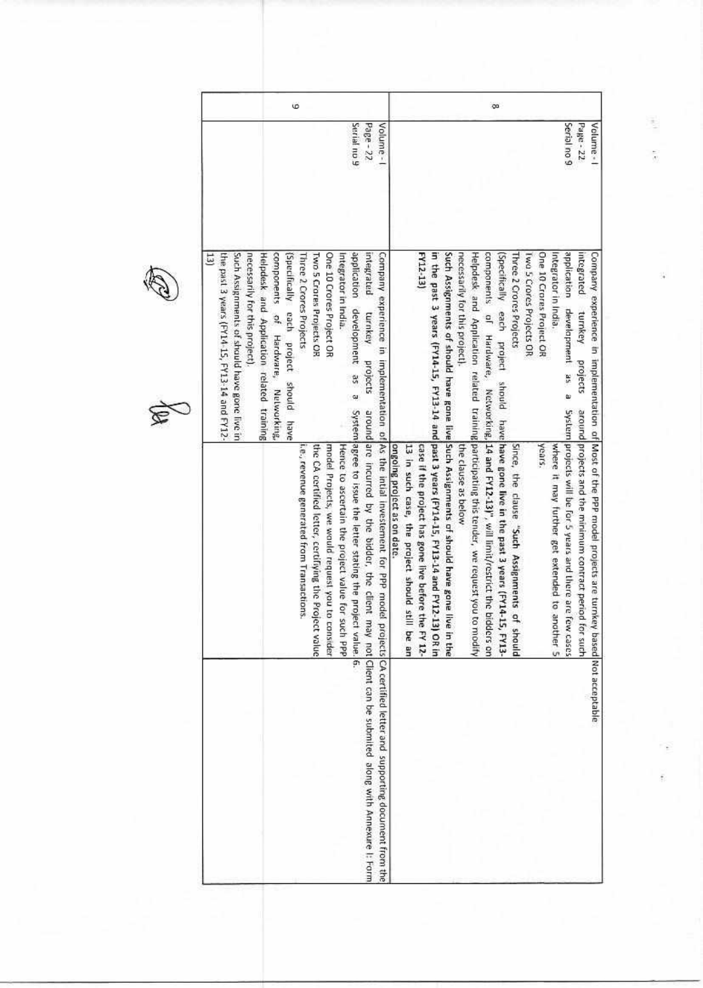| Volume - I                                                                                                                                                                                                                            |
|---------------------------------------------------------------------------------------------------------------------------------------------------------------------------------------------------------------------------------------|
| Company experience in implementation of As the intial investement for PPP model<br>ongoing project as on date.<br>13 in such case, the project should still<br>projects CA certified letter and supporting document from the<br>be an |



A

 $\frac{1}{2}$  $\bar{\tilde{v}}$ 

f.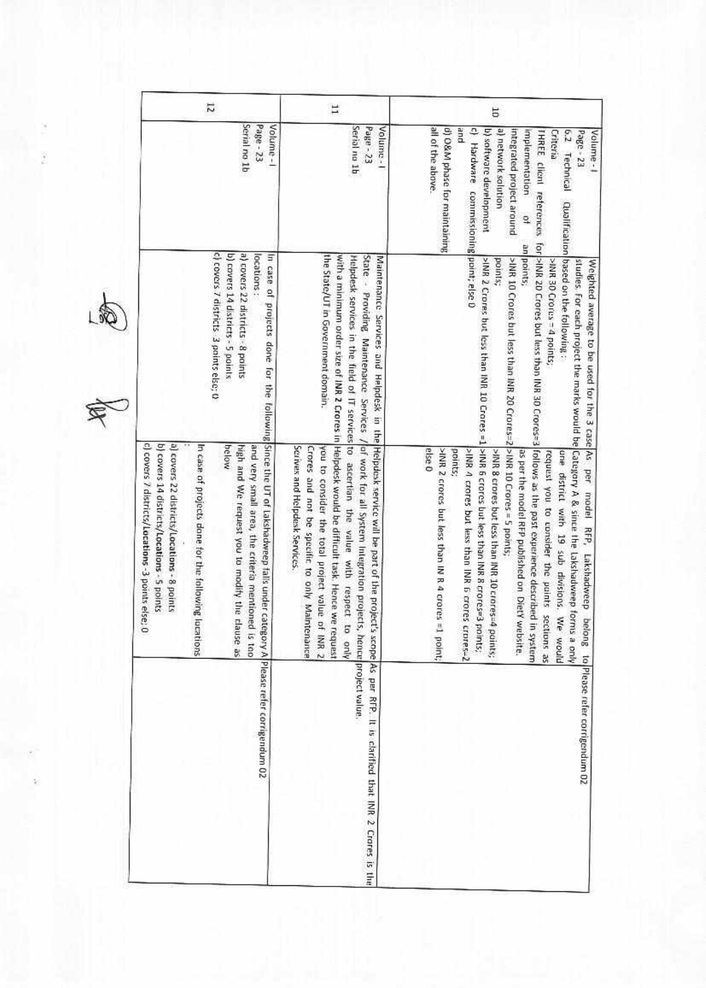| 12                                                                                                                                                 |                                                                                                                                                                                                                                                                                                        | H                                                                                                                                                                                                                                                                                                                                                                                                                                                  | 5                                                                                                                                                                                                                                                                                                                                                                                                                                                                                                                                                                                                                                                                                                                                            |  |  |
|----------------------------------------------------------------------------------------------------------------------------------------------------|--------------------------------------------------------------------------------------------------------------------------------------------------------------------------------------------------------------------------------------------------------------------------------------------------------|----------------------------------------------------------------------------------------------------------------------------------------------------------------------------------------------------------------------------------------------------------------------------------------------------------------------------------------------------------------------------------------------------------------------------------------------------|----------------------------------------------------------------------------------------------------------------------------------------------------------------------------------------------------------------------------------------------------------------------------------------------------------------------------------------------------------------------------------------------------------------------------------------------------------------------------------------------------------------------------------------------------------------------------------------------------------------------------------------------------------------------------------------------------------------------------------------------|--|--|
|                                                                                                                                                    | Serial no 1b<br>Page - 23<br>Volume-1                                                                                                                                                                                                                                                                  | Serial na 1b<br>Page - 23<br>Volume-1                                                                                                                                                                                                                                                                                                                                                                                                              | all of the above<br>d) O&M phase for maintaining<br>pue<br>$\overline{a}$<br>b) software development<br>a) network solution<br>integrated project around<br>implementation<br>THREE client references<br>6.2 Technical<br>Page - 23<br>Criteria<br>Volume -<br>Hardware commissioning point; else 0<br>9                                                                                                                                                                                                                                                                                                                                                                                                                                     |  |  |
|                                                                                                                                                    | c) covers 7 districts 3 points else; 0<br>b) covers 14 districts - 5 points<br>a) covers 22 districts - 8 points<br>locations:                                                                                                                                                                         | the State/UT in Government domain.                                                                                                                                                                                                                                                                                                                                                                                                                 | Qualification based on the following<br>an points;<br>>INR 10 Crores but less than INR 20 Crores=2 >INR 10 Crores = 5 points;<br>points;<br>>IMR 30 Crores = 4 points;                                                                                                                                                                                                                                                                                                                                                                                                                                                                                                                                                                       |  |  |
| c) covers 7 districts/Locations -3 points else;<br>a) covers 22 districts/Locations - 8 points<br>b) covers 14 districts/Locations - 5 points<br>o | In case of projects done for the following Since the UT of Lakshadweep falls under category A Please refer corrigendum 02<br>In case of projects done for the following lucations<br>and very small area, the criteria mentioned<br>below<br>high and We request you to modify the clause as<br>is too | with a minimum order size of INR 2 Crores in Helpdesk would be difficult task. Hence we request<br>State - Providing Maintenance Services / of work for all System Integration projects, hence project value.<br>Helpdesk services in the field of IT services to ascertian the value with respect to only<br>Serives and Helpdesk Services.<br>Crores and not be specific to only Maintenance<br>you to consider the total project value of IMR 2 | for >NN 20 Crores but less than INR 30 Crores=3 follows as the past experience described in<br>-NMR 2 Crores but less than INR 10 Crores =1 >INR 6 crores but less than INR 8 crores=3 points;<br>studies. For each project the marks would be Category A & since the Lakshadweep forms a only<br>Weighted average to be used for the 3 case As per model RFP, Lakshadweep belong<br>else 0<br>>INR 2 crores but less than IN R 4 crores =1 point;<br>points;<br>NNR 4 crores but less than INR 6 crores crores-2<br>one district with 19 sub divisions. We would<br>MNR 8 crores but less than INR 10 crores=4<br>as per the model RFP published on DietY website.<br>request you to consider the paints sections as<br>points;<br>uajsks i |  |  |
|                                                                                                                                                    |                                                                                                                                                                                                                                                                                                        | Maintenance Services and Helpdesk in the Helpdesk service will be part of the project's scope As per RFP. It is clarified that INR 2 Crores is the                                                                                                                                                                                                                                                                                                 | to Please refer corrigendum 02                                                                                                                                                                                                                                                                                                                                                                                                                                                                                                                                                                                                                                                                                                               |  |  |

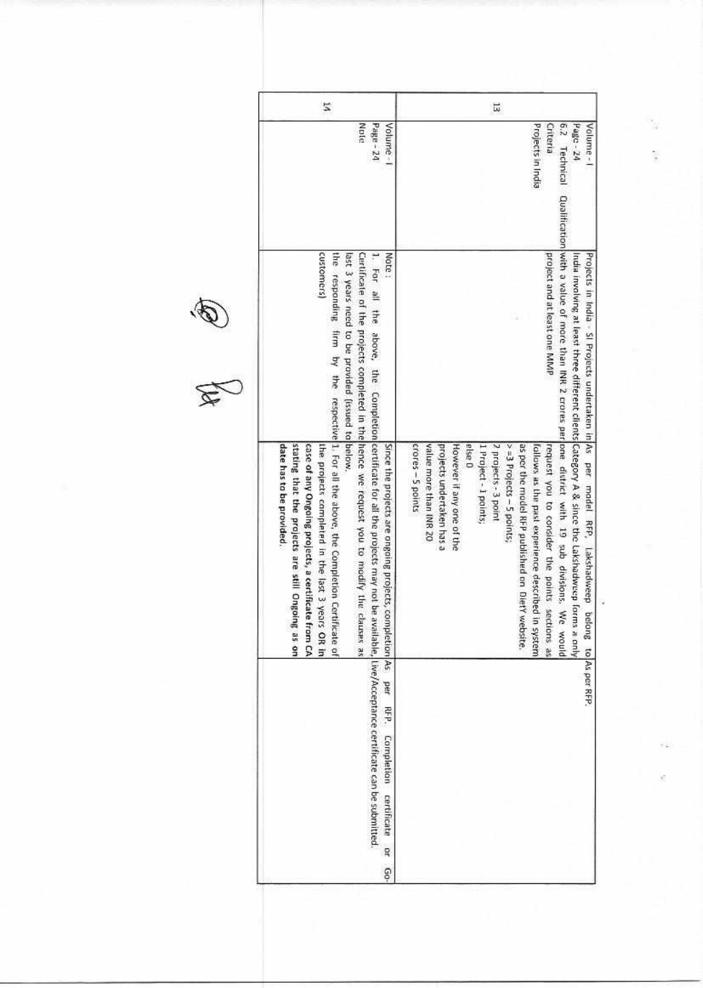| 14                                                                                                                                                                                                                                                                                                                                                                                                                                                                                                                                                                                                                           | 岀                                                                                                                                                                                                                                                                                                                                                                                                                                                                                                                                                                                                      |
|------------------------------------------------------------------------------------------------------------------------------------------------------------------------------------------------------------------------------------------------------------------------------------------------------------------------------------------------------------------------------------------------------------------------------------------------------------------------------------------------------------------------------------------------------------------------------------------------------------------------------|--------------------------------------------------------------------------------------------------------------------------------------------------------------------------------------------------------------------------------------------------------------------------------------------------------------------------------------------------------------------------------------------------------------------------------------------------------------------------------------------------------------------------------------------------------------------------------------------------------|
| Note<br>Page - 24<br>Volume-1                                                                                                                                                                                                                                                                                                                                                                                                                                                                                                                                                                                                | Projects in India<br>6.2 Technical<br>Criteria<br>Page - 24<br>Volume-1                                                                                                                                                                                                                                                                                                                                                                                                                                                                                                                                |
|                                                                                                                                                                                                                                                                                                                                                                                                                                                                                                                                                                                                                              |                                                                                                                                                                                                                                                                                                                                                                                                                                                                                                                                                                                                        |
| customers)<br>last 3 years need to be provided (issued to below<br>Note:                                                                                                                                                                                                                                                                                                                                                                                                                                                                                                                                                     | project and at least one MMP<br>Projects in India > SI Projects undertaken in As per model RFP,                                                                                                                                                                                                                                                                                                                                                                                                                                                                                                        |
| Certificate of the projects completed in the horse we request you to modify the clauses as<br>the responding firm by the respective[1, For all the above, the Completion Certificate of<br>1. For all the above, the Completion certificate for all the projects may not be available, Live/Acceptance certificate can be submitted<br>stating that the projects are still Ongoing as on<br>date has to be provided.<br>case of any Ongoing projects, a certificate<br>the projects completed in the last 3 years OR in<br>Since the projects are ongoing projects, completion As per REP. Completion certificate<br>fram CA | Qualification with a value of more than INR 2 crores per pore district with 19 sub divisions. We<br>India involving at least three different clients[Category A & since the Lakshadweep forms a only<br>else 0<br>7 projects - 3 point<br>crores - 5 points<br>value more than INR 20<br>However if any one of the<br>$> = 3$ Projects - 5 points;<br>as per the model RFP published on DietY website.<br>follows as the past experience described in system<br>request you to consider the points sections as<br>projects undertaken has a<br>1 Project - 1 points;<br>Lakshadweep<br>befong<br>pinom |
|                                                                                                                                                                                                                                                                                                                                                                                                                                                                                                                                                                                                                              | to As per RFP                                                                                                                                                                                                                                                                                                                                                                                                                                                                                                                                                                                          |
| p<br>6                                                                                                                                                                                                                                                                                                                                                                                                                                                                                                                                                                                                                       |                                                                                                                                                                                                                                                                                                                                                                                                                                                                                                                                                                                                        |



 $\gamma_{\rm H}$ ŧ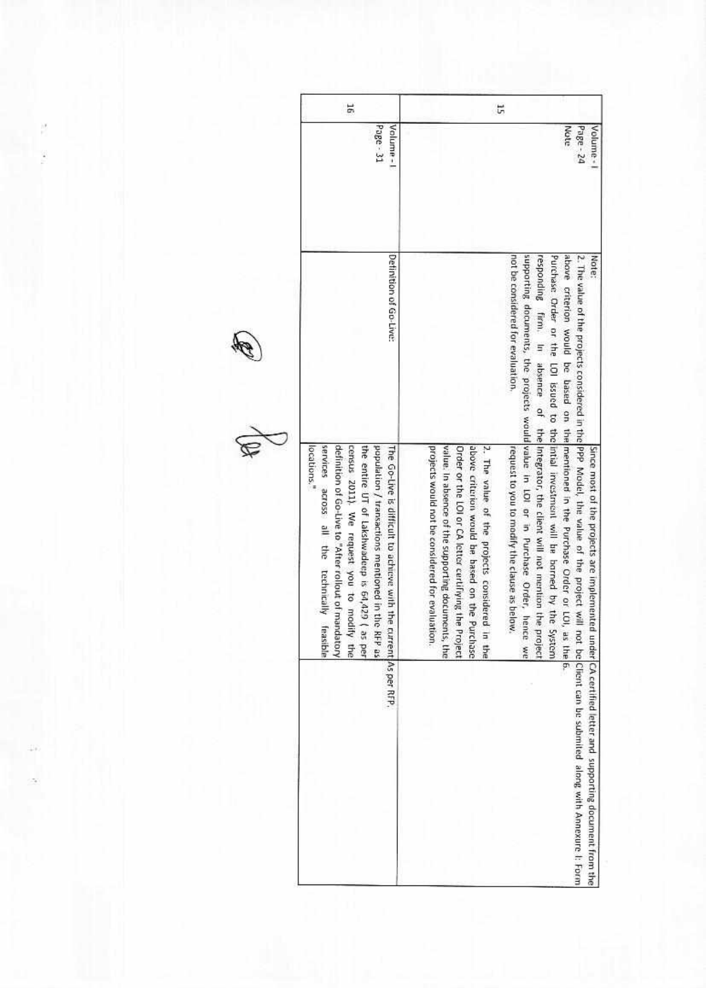| 51                                                                                                                                                                                                                                                                                                                                                   | 5                                                                                                                                                                                                                                                                                                                                                                                                                                                                                                                                                                                                                                                                                                                                                                                                                               |
|------------------------------------------------------------------------------------------------------------------------------------------------------------------------------------------------------------------------------------------------------------------------------------------------------------------------------------------------------|---------------------------------------------------------------------------------------------------------------------------------------------------------------------------------------------------------------------------------------------------------------------------------------------------------------------------------------------------------------------------------------------------------------------------------------------------------------------------------------------------------------------------------------------------------------------------------------------------------------------------------------------------------------------------------------------------------------------------------------------------------------------------------------------------------------------------------|
| Page - 31<br>Volume-1                                                                                                                                                                                                                                                                                                                                | Note<br>Page - 24<br>Volume -                                                                                                                                                                                                                                                                                                                                                                                                                                                                                                                                                                                                                                                                                                                                                                                                   |
| Definition of Go-Live:                                                                                                                                                                                                                                                                                                                               | responding<br>not be considered for evaluation.<br>Note                                                                                                                                                                                                                                                                                                                                                                                                                                                                                                                                                                                                                                                                                                                                                                         |
| services across all the technically<br>definition of Go-Live to "After rollout of mandatory<br>census 2011). We request you to modify the<br>locations."<br>the entire UT of Lakshwadeep is 64,429<br>population / transactions mentioned in the RFP as<br>The Go-Live is difficult to achieve with the<br>feasible<br>as per<br>current As per RFP. | supporting documents, the projects would/value in LOI or in Purchase Order, hence we<br>above criterion would be based on the mentioner in the Purchase Order or LOI,<br>Purchase Order or the LOI issued to the intial investment will be borned by the<br>2. The value of the projects considered in the IPPP Model, the value of the project will<br>firm. In absence of the Integrator, the client will not mention the project<br>above criterion would be based on the Purchase<br>2. The value of the projects considered in the<br>request to you to modify the clause as below.<br>projects would not be considered for evaluation.<br>value. In absence of the supporting documents, the<br>Order or the LOI or CA letter certiflying the Project<br>Since most of the projects are implemente<br>System<br>as the 6. |
|                                                                                                                                                                                                                                                                                                                                                      | d under CA certified letter and supporting document from the<br>not be Client can be submited along with Annexure I: Form                                                                                                                                                                                                                                                                                                                                                                                                                                                                                                                                                                                                                                                                                                       |



Ŗ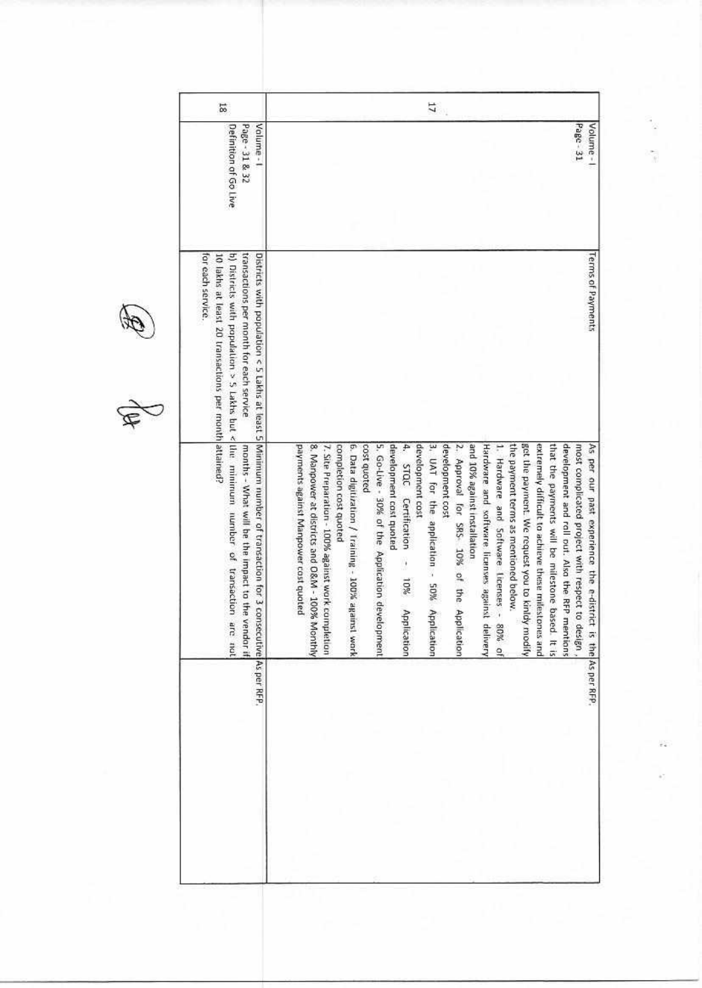| Page - 31 & 32<br>Valume-1<br>Page - 31<br>Definition of Go Live<br>transactions per month for each service<br>Districts with population < 5 Lakhs at least 5 Minimum number of transaction for 3 consecutivel As per RFP.<br>for each service<br>10 lakhs at least 20 transactions per month attained?<br>b) Districts with populational S Lakes but $\frac{1}{2}$ hat $\frac{1}{2}$ hat $\frac{1}{2}$ in the minimum number of transaction<br>get the payment. We request you to kinldy modify<br>development and roll out. Also the RFP mentions<br>months - What will be the impact to the<br>P.<br>development cost<br>and 10% against installation<br>Hardware and software licenses against<br>1. Hardware and Software Licenses -<br>the payment terms as mentioned below.<br>extremely difficult to achieve these milestones and<br>that the payments will be milestone based. It is<br>most complicated project with respect to<br>5. Go-Live - 30% of the Application development<br>development cost quoted<br>development cost<br>3. UAT for the application - 50%<br>2. Approval for SRS- 10% of the Application<br>payments against Manpower cost quoted<br>8. Manpower at districts and O&M - 100% Monthly<br>completion cost quoted<br>6. Data digitization / Iraining - 100% against work<br>cost quoted<br>7. Site Preparation - 100% against work completion<br>STQC Certification |
|--------------------------------------------------------------------------------------------------------------------------------------------------------------------------------------------------------------------------------------------------------------------------------------------------------------------------------------------------------------------------------------------------------------------------------------------------------------------------------------------------------------------------------------------------------------------------------------------------------------------------------------------------------------------------------------------------------------------------------------------------------------------------------------------------------------------------------------------------------------------------------------------------------------------------------------------------------------------------------------------------------------------------------------------------------------------------------------------------------------------------------------------------------------------------------------------------------------------------------------------------------------------------------------------------------------------------------------------------------------------------------------------------------|
|                                                                                                                                                                                                                                                                                                                                                                                                                                                                                                                                                                                                                                                                                                                                                                                                                                                                                                                                                                                                                                                                                                                                                                                                                                                                                                                                                                                                        |
|                                                                                                                                                                                                                                                                                                                                                                                                                                                                                                                                                                                                                                                                                                                                                                                                                                                                                                                                                                                                                                                                                                                                                                                                                                                                                                                                                                                                        |
| - 10%<br>Application<br>Application<br>are not<br>vendor if<br>delivery<br>, design,<br>80% of                                                                                                                                                                                                                                                                                                                                                                                                                                                                                                                                                                                                                                                                                                                                                                                                                                                                                                                                                                                                                                                                                                                                                                                                                                                                                                         |

î,

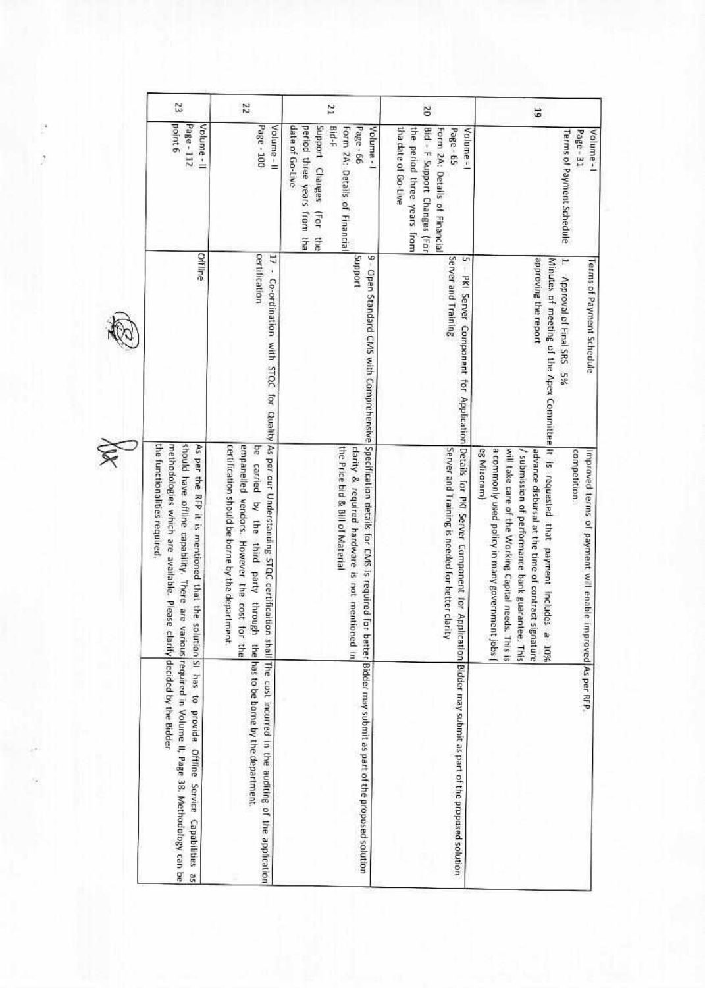| Z                                                                                                                                                                                                                           | 22                                                                                                                                                                                   | 21                                                                                                                                                  |                                                                                                                                                |                                                                                                                                                                                                                                                                                                                           |
|-----------------------------------------------------------------------------------------------------------------------------------------------------------------------------------------------------------------------------|--------------------------------------------------------------------------------------------------------------------------------------------------------------------------------------|-----------------------------------------------------------------------------------------------------------------------------------------------------|------------------------------------------------------------------------------------------------------------------------------------------------|---------------------------------------------------------------------------------------------------------------------------------------------------------------------------------------------------------------------------------------------------------------------------------------------------------------------------|
|                                                                                                                                                                                                                             |                                                                                                                                                                                      |                                                                                                                                                     | <b>SC</b>                                                                                                                                      | 57                                                                                                                                                                                                                                                                                                                        |
| point 6<br>Page - 112<br>Volume - II                                                                                                                                                                                        | Page - 100<br>Volume-II                                                                                                                                                              | date of Go-Live<br>Support Changes<br>period three years from tha<br>$3-1-18$<br>Page - 66<br>Form 2A: Details of Financial<br>Volume -<br>(For the | tha date of Go-Live<br>the period three years from<br>Bid - F Support Changes (For<br>Page - 65<br>Form 2A: Details of Financial<br>Volume - I | Valume -<br>Page - 31<br>Terms of Payment Schedule                                                                                                                                                                                                                                                                        |
| Offine                                                                                                                                                                                                                      | certification<br>11                                                                                                                                                                  | Support<br>4                                                                                                                                        | Server and Training<br>Lη                                                                                                                      | approving the report<br>Minutes of meeting of the Apex Committee it is requested that payment includes<br>Ħ<br>Terms of Payment Schedule<br>Approval of Final SRS 5%                                                                                                                                                      |
| the functionalities required.<br>methodologies which are available. Please<br>should have offline capability. There are<br>As per the RFP it is mentioned that the solution SI has to provide. Offline Service Capabilities | certification should be borne by the department.<br>empanelled vendors. However the cost for the<br>be carried by the third party through                                            | the Price bid & Bill of Material<br>clarity & required hardware is not mentioned in                                                                 | Server and Training is needed for better clarity                                                                                               | eg Mizoram)<br>a commonly used policy in many government jobs (<br>will take care of the Working Capital needs. This is<br>/ submission of performance bank guarantee. This<br>advance disbursal at the time of contract signature<br>competition.<br>Improved terms of payment will enable improved As per RFP.<br>a 10% |
| various required in Volume II, Page 38. Methodology can be<br>clarify decided by the Bidder<br>S.                                                                                                                           | Co-ordination with STQC for Quality As per our Understanding STQC certification shall The cost incurred in the auditing of the application<br>the has to be borne by the department. | - Open Standard CMS with Comprehensive Specification details for CMS is required for better Bidder may submit as part of the proposed solution      | PKI Server Component for Application Details for PKI Server Component for Application Bidder may submit as part of the proposed solution       |                                                                                                                                                                                                                                                                                                                           |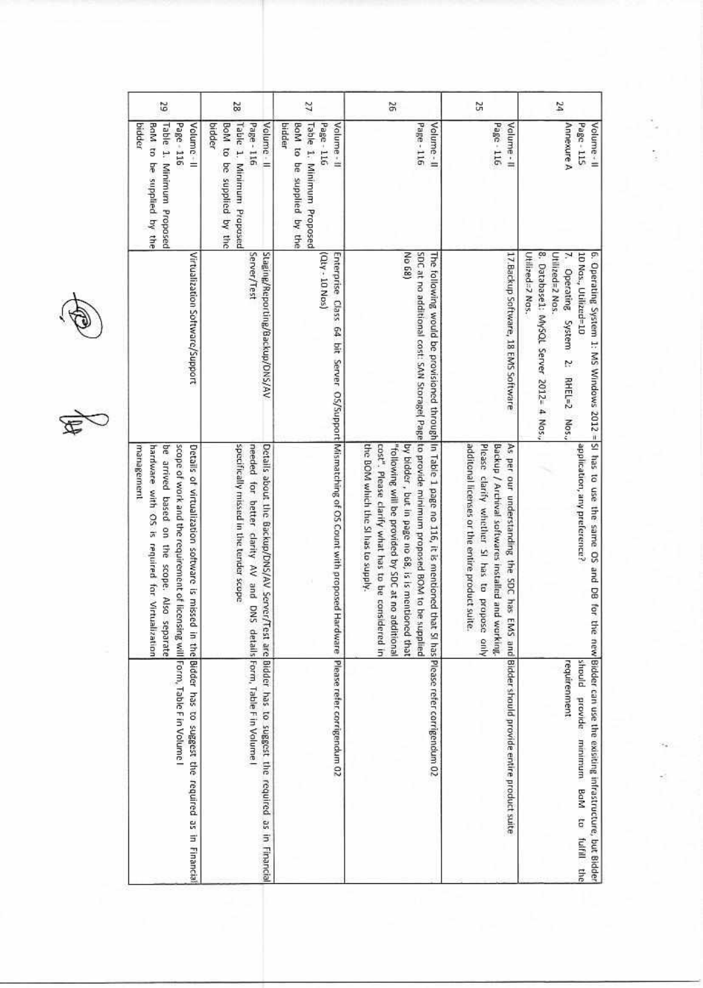| 29                                                                                                                                                                                                | 25                                                                                                                                     | Ŷ,                                                                                                                    | 9Ż                                                                                                                                                                                                                                                                                                                                                                                                                                  | S                                                                                                                                                                                                                                                 | ÞΖ                                                                                                                                                                                                                                |
|---------------------------------------------------------------------------------------------------------------------------------------------------------------------------------------------------|----------------------------------------------------------------------------------------------------------------------------------------|-----------------------------------------------------------------------------------------------------------------------|-------------------------------------------------------------------------------------------------------------------------------------------------------------------------------------------------------------------------------------------------------------------------------------------------------------------------------------------------------------------------------------------------------------------------------------|---------------------------------------------------------------------------------------------------------------------------------------------------------------------------------------------------------------------------------------------------|-----------------------------------------------------------------------------------------------------------------------------------------------------------------------------------------------------------------------------------|
| BoM to be supplied by the<br>Page 116<br>Volume-II<br>bidder<br>Table 1. Minimum Proposed                                                                                                         | Volume - II<br>BoM to<br>Page - 116<br>bidder<br>Table 1. Minimum Proposed<br>be supplied by the                                       | Table 1. Minimum Proposed<br>Volume - II<br>bidder<br>BoM to be supplied by the<br>Page - 116                         | Volume-II<br>Page-116                                                                                                                                                                                                                                                                                                                                                                                                               | Page - 116<br>Valume - II                                                                                                                                                                                                                         | Annexure A<br>Page - 115<br>Volume-11                                                                                                                                                                                             |
| Virtualization Software/Support                                                                                                                                                                   | Server/Test<br>Staging/Reporting/Backup/DNS/AV                                                                                         | (Qty - 10 Nos)                                                                                                        | No 68)                                                                                                                                                                                                                                                                                                                                                                                                                              | 17. Backup Software, 18 EMS Software                                                                                                                                                                                                              | 8. Database1: MySQL Server 2012= 4 Nos.,<br>10 Nos., Utilized=10<br>6. Operating System 1: MS Windows 2012 = SI has to use the same OS and DB for<br>Utilized=2 Nos.<br>Utilized=2 Nos.<br>7. Operating System 2:<br>RHEL=2 Nos., |
| scope of work and the requirement of licensing will Form, Table F in Volume I<br>management<br>hardware with OS is required for Virtualization<br>be arrived based on the scope. Also<br>separate | specifically missed in the tender scope<br>needed for better clarity AV and DNS                                                        | Enterprise Class 64 bit Server OS/Support Wismatching of OS Count with proposed Hardware  Please refer corrigendum 02 | SDC at no additional cost: SAN Storage( Page to provide minimum proposed BOM to be supplied<br>The following would be provisioned through In Table 1 page no 116, it is mentioned that 51 has Please refer corrigendum 02<br>the BOM which the SI has to supply.<br>"following will be provided by SDC at no additional<br>by bidder, but in page no 68, is is mentioned that<br>cost". Please clarify what has to be considered in | additonal licenses or the entire product suite.<br>Please clarify whether SI has to propose only<br>As per our understanding the SDC has EMS and Bidder should provide entire product suite<br>Backup / Archival softwares installed and working. | application, any preference?                                                                                                                                                                                                      |
| Details of virtualization software is missed in the Bidder has to suggest the required as in Financia                                                                                             | Details about the Backup/DNS/AV Server/Test are Bidder has to suggest the required as in Financial<br>details Form, Table Fin Volume I |                                                                                                                       |                                                                                                                                                                                                                                                                                                                                                                                                                                     |                                                                                                                                                                                                                                                   | the new Bidder can use the existing infrastructure, but Bidder<br>requirenment<br>should provide minimum BaM<br>ä<br>fulfill the                                                                                                  |

E)

Š

 $\frac{1}{2}$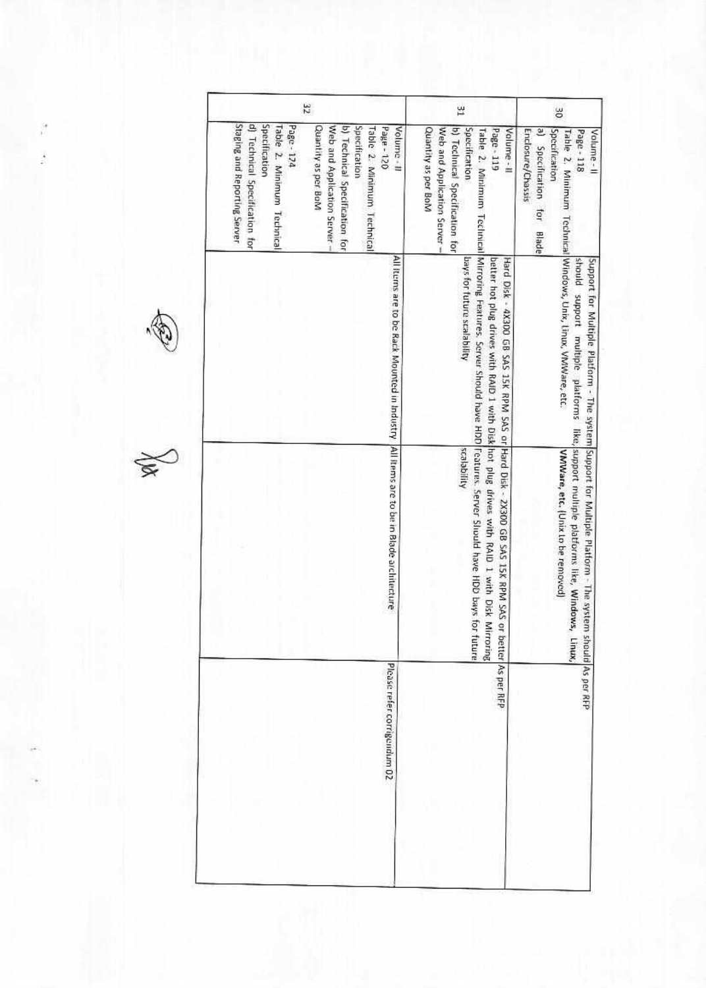| 32                                                                                                                                                                                                                                                                                                 | 꿢                                                                                                                                                                                                                                                                                                                        | 9E                                                                                                                                                    |
|----------------------------------------------------------------------------------------------------------------------------------------------------------------------------------------------------------------------------------------------------------------------------------------------------|--------------------------------------------------------------------------------------------------------------------------------------------------------------------------------------------------------------------------------------------------------------------------------------------------------------------------|-------------------------------------------------------------------------------------------------------------------------------------------------------|
| Staging and Reporting Server<br>d) Technical Specification for<br>Specification<br>Table 2. Minimum Technical<br>Page - 174<br>Web and Application Server -<br>Cuantity as per BoM<br>b) Technical Specification for<br>Specification<br>Table 2. Minimum Technical<br>$021 - 986d$<br>Volume - II | Web and Application Server -<br><b>Quantity as per BoM</b><br>b) Technical Specification for<br>Specification<br>Page - 119<br>Volume - II                                                                                                                                                                               | E<br>Enclosure/Chassis<br>Specification<br>Page - 118<br>Volume - II<br>Specification for<br>Blade                                                    |
| All items are to be Rack Mounted in Industry  All Items are to be in Blade architecture                                                                                                                                                                                                            | bays for future scalability                                                                                                                                                                                                                                                                                              | Table 2. Minimum Technical Windows, Unix, Unux, VMWare, etc.<br>Support for Multiple Platform - The system Support for Multiple Platform - The system |
|                                                                                                                                                                                                                                                                                                    | Table 2. Minimum Technical Mirroring Features, Server Should have HDD Features. Server Should have HDD bays for future<br>Hard Disk - 4X300 GB SAS 15K RPM SAS or Hard Disk - 2X300 GB SAS 15K RPM SAS or<br>better hot plug drives with RAID 1 with Disk hot plug drives with RAID 1 with Disk Mirroring<br>scalability | should support multiple platforms like, support multiple platforms like, Windows,<br>VMWare, etc. (Unix to be removed)<br>linux,                      |
| Please refer corrigendum 02                                                                                                                                                                                                                                                                        | better As per RFP                                                                                                                                                                                                                                                                                                        | should As per RFP                                                                                                                                     |



 $\mathbb{Z}$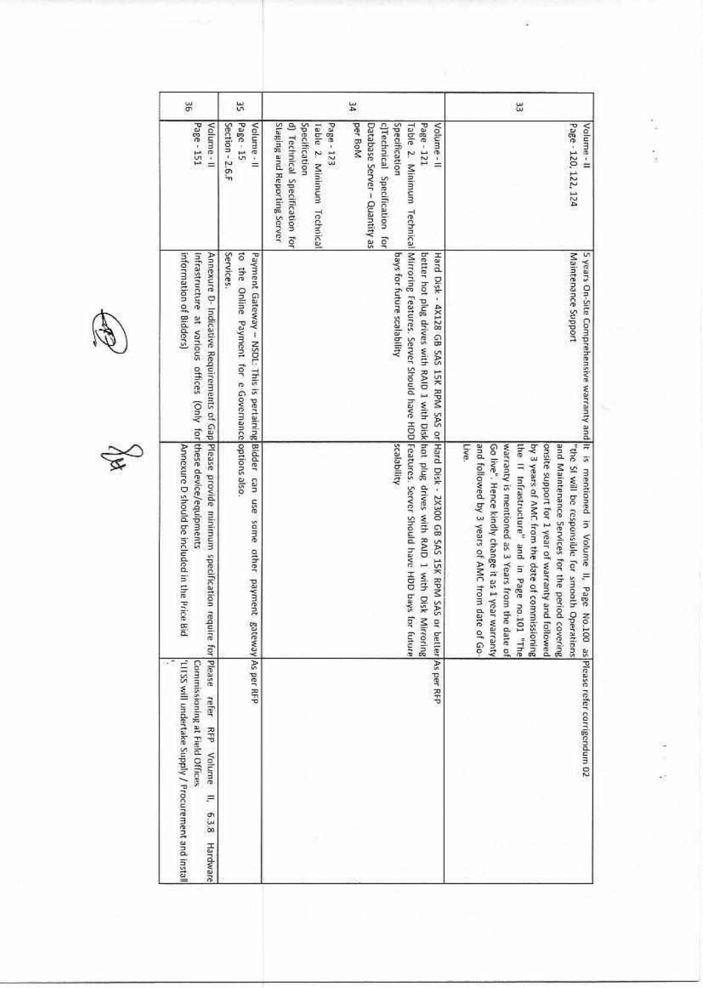$\cancel{\mathbf{z}}$ 

| ăβ                                                                                                                                                   | 씂                                                                                                                                                | 34                                                                                                                          |                                                                                                                                                                                                                                                                                                                                          | æ                                                                                                                                                                                                                                                                                                                                                                                                                                                                                                                                                                           |
|------------------------------------------------------------------------------------------------------------------------------------------------------|--------------------------------------------------------------------------------------------------------------------------------------------------|-----------------------------------------------------------------------------------------------------------------------------|------------------------------------------------------------------------------------------------------------------------------------------------------------------------------------------------------------------------------------------------------------------------------------------------------------------------------------------|-----------------------------------------------------------------------------------------------------------------------------------------------------------------------------------------------------------------------------------------------------------------------------------------------------------------------------------------------------------------------------------------------------------------------------------------------------------------------------------------------------------------------------------------------------------------------------|
| Page - 151<br>Volume - II                                                                                                                            | Page - 15<br>Section - 2.6.F<br>Volume - II                                                                                                      | Staging and Reporting Server<br>d) Technical Specification for<br>Specification<br>Page - 123<br>Table 2. Minimum Technical | per BoM<br>Specification<br>Volume-II<br>Database Server - Quantity as<br>c)Technical Specification for<br>Page - 121                                                                                                                                                                                                                    | Valume-II<br>Page - 120, 122, 124                                                                                                                                                                                                                                                                                                                                                                                                                                                                                                                                           |
| information of Bidders)<br>Infrastructure at various offices (Only for these device/equipments                                                       | Payment Gateway - NSDL: This is pertaining Bidder can use some other payment<br>Services.<br>to the Online Payment for e-Governance options also |                                                                                                                             | bays for future scalability                                                                                                                                                                                                                                                                                                              | Maintenance Support                                                                                                                                                                                                                                                                                                                                                                                                                                                                                                                                                         |
| Annexure D- Indicative Requirements of Gap Please provide minimum specification require for Please<br>Annexure D should be included in the Price Bid |                                                                                                                                                  |                                                                                                                             | Table 2. Minimum Technical Mirroring Features. Server Should have HDD Features: Server Should have HDD bays for future<br>better hot plug drives with RAID I with Disk hot plug drives with RAID I with Disk Mirroring<br>Hard Disk - 4X128 GB 5AS 15K RPM 5AS or Hard Disk - 2X300 GB 5AS 15K RPM 5AS or Detter peer RFP<br>scalability | 5 years On-Site Comprehensive warranty and it is mentioned in Volume II, Page No.100 as Please refer corrigendum 02<br>and followed by 3 years of AMC from date of Go<br>warranty is mentioned as 3 Years from the date of<br>the IT Infrastructure" and in Page no.101 "The<br>by 3 years of AMC from the date of commissioning<br>and Maintenance Services for the period<br>Live<br>Go live", Hence kindly change it as 1 year warranty<br>onsite support for 1 year of warranty and<br>"the SI will be responsible for smooth Operations<br><b>Lollowed</b><br>covering |
| 'LITSS will undertake Supply / Procurement and install<br>Commissioning at Field Offices<br>reter<br>RFP Volume<br>F<br>63.8<br>Hardware             | gateway As per RFP                                                                                                                               |                                                                                                                             |                                                                                                                                                                                                                                                                                                                                          |                                                                                                                                                                                                                                                                                                                                                                                                                                                                                                                                                                             |

T

î,

i,

t)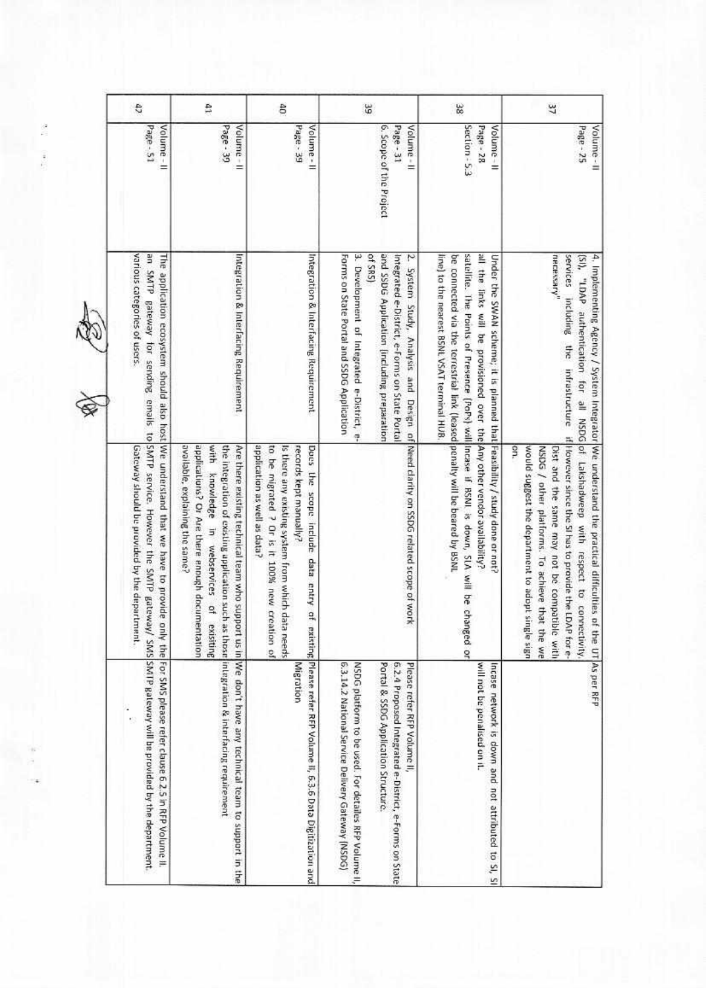| 47                                                                                                                                                                                                                                                                                                                                   | 41                                                                                                                                                                                                                                 | 50                                                                                                                                                                                                     | 56                                                                                                                                                                                                                                          | 38                                                                                                                                                                                                                                                                                      | $\frac{2}{3}$                                                                                                                                                                                                                                                                                                                                                                                                                                 |
|--------------------------------------------------------------------------------------------------------------------------------------------------------------------------------------------------------------------------------------------------------------------------------------------------------------------------------------|------------------------------------------------------------------------------------------------------------------------------------------------------------------------------------------------------------------------------------|--------------------------------------------------------------------------------------------------------------------------------------------------------------------------------------------------------|---------------------------------------------------------------------------------------------------------------------------------------------------------------------------------------------------------------------------------------------|-----------------------------------------------------------------------------------------------------------------------------------------------------------------------------------------------------------------------------------------------------------------------------------------|-----------------------------------------------------------------------------------------------------------------------------------------------------------------------------------------------------------------------------------------------------------------------------------------------------------------------------------------------------------------------------------------------------------------------------------------------|
| Page - 51<br>Volume - II                                                                                                                                                                                                                                                                                                             | Page - 39<br>Volume - II                                                                                                                                                                                                           | Page - 39<br>Volume-II                                                                                                                                                                                 | 6. Scope of the Project<br>Page - 31<br>Volume - II                                                                                                                                                                                         | Section - 5.3<br>Page - 28<br>Volume-II                                                                                                                                                                                                                                                 | $P$ age - 25<br>Volume - II                                                                                                                                                                                                                                                                                                                                                                                                                   |
| various categories of users.                                                                                                                                                                                                                                                                                                         | Integration & Interfacing Requirement                                                                                                                                                                                              | Integration & Interfacing Requirement                                                                                                                                                                  | 3. Development of Integrated e-District, e-<br>of SRS)<br>and SSDG Application (including preparation<br>Z.<br>Forms on State Portal and SSDG Application<br>Integrated e-District, e-Forms on State Portal                                 | line) to the nearest BSNL VSAT terminal HUB.<br>all the links will be provisioned over the Any other vendor availability?<br>be connected via the terrestrial link (leased penalty will be beared by BSNL<br>Under the SWAN scheme; it is planned that Feasibility / study done or not? | necessary"                                                                                                                                                                                                                                                                                                                                                                                                                                    |
| an SMTP Bateway for sending emails to SMTP service. However the SMTP gateway/ SMS SMTP gateway will be provided by the department.<br>The application ecosystem should also host We understand that we have to provide only the For SMS please refer clause 6.2.5 in RFP Volume II.<br>Gateway should be provided by the department. | available, explaining the same?<br>applications? Or Are there enough documentation<br>with knowledge in webservices of<br>the integration of existing upplication such as those integration & interfacing requirement<br>exisiting | application as well as data?<br>Is there any existing system from which data needs<br>Does the scope include data entry of<br>to be migrated ? Or is it 100% new creation of<br>records kept manually? | System Study, Analysis and Design of Need clarity on SSDG related scope of work                                                                                                                                                             | satellite. The Points of Presence (PoPs) will incase if BSNI is down, SLA will be changed or                                                                                                                                                                                            | services including the infrastructure if illowever since the SI has to provide the LDAP for e-<br>4. Implementing Agency / System Integrator We understand the practical difficulties of<br>[SI), "LDAP authentication for all NSDG of Lakshadweep with respect to connectivity<br>9h.<br>Dist and the same may not be compatible with<br>would suggest the department to adopt single sign<br>NSDG / other platforms. To achieve that the we |
|                                                                                                                                                                                                                                                                                                                                      | Are there existing technical team who support us in We don't have any technical team to support in the                                                                                                                             | existing Please refer RFP Volume if, 6.3.6 Data Digitization and<br>Migration                                                                                                                          | 6.3.14.2 National Service Delivery Gateway (NSDG)<br>NSDG platform to be used. For detailes RFP Volume II,<br>Portal & SSDG Application Structure.<br>6.2.4 Proposed Integrated e-District, e-Forms on State<br>Please refer RFP Volume II, | will not be penalised on it.<br>Incase network is down and not attributed to SI, SI                                                                                                                                                                                                     | the UT As per RFP                                                                                                                                                                                                                                                                                                                                                                                                                             |

 $\lambda$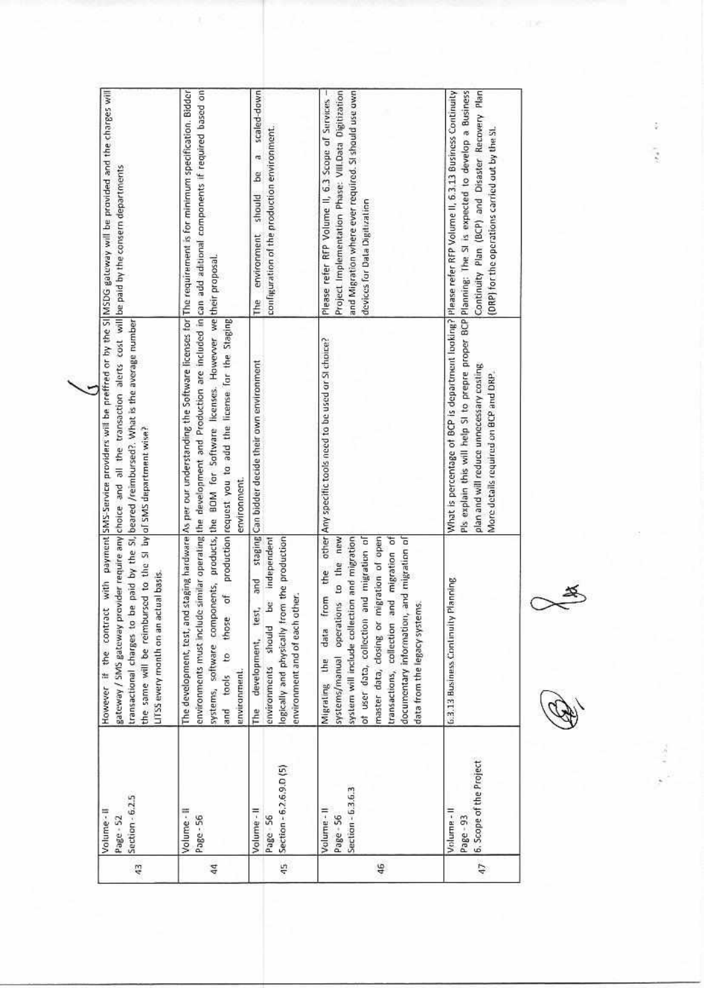| scaled-down<br>Project Implementation Phase: VIII.Data Digitization<br>and Migration where ever required. Si should use own<br>Continuity Plan (BCP) and Disaster Recovery Plan<br>Please refer RFP Volume II, 6.3 Scope of Services<br>configuration of the production environment.<br>(DRP) for the operations carried out by the SL<br>ra<br>å<br>should<br>devices for Data Digitization<br>environment<br>The | Pis explain this will help SI to prepre proper BCP Planning: The SI is expected to develop a Business<br>What is percentage of BCP is department looking? Please refer RFP Volume II, 6.3.13 Business Continuity<br>other Any specific tools need to be used or SI chaire?<br>staging Can bidder decide their own environment<br>plan and will reduce unnecessary costing<br>More details required on BCP and DRP.                                                                   | logically and physically from the production<br>system will include collection and migration<br>migration of open<br>documentary information, and migration of<br>and migration of<br>transactions, collection and migration of<br>systems/manual operations to the new<br>be independent<br>the<br>Planning<br>and<br>from<br>environment and of each other<br>data from the legacy systems.<br>test,<br>of user data, collection<br><b>G.3.13 Business Continuity</b><br>master data, closing or<br>environments should<br>data<br>development,<br>Migrating the<br>The | 6. Scope of the Project<br>Section - 6.2.6.9.0 (5)<br>Section - 6.3.6.3<br>Volume - II<br>Volume - II<br>Volume-11<br>Page 56<br>Page - 56<br>Page - 93<br>$\overline{47}$<br>45<br>46 |
|--------------------------------------------------------------------------------------------------------------------------------------------------------------------------------------------------------------------------------------------------------------------------------------------------------------------------------------------------------------------------------------------------------------------|--------------------------------------------------------------------------------------------------------------------------------------------------------------------------------------------------------------------------------------------------------------------------------------------------------------------------------------------------------------------------------------------------------------------------------------------------------------------------------------|---------------------------------------------------------------------------------------------------------------------------------------------------------------------------------------------------------------------------------------------------------------------------------------------------------------------------------------------------------------------------------------------------------------------------------------------------------------------------------------------------------------------------------------------------------------------------|----------------------------------------------------------------------------------------------------------------------------------------------------------------------------------------|
|                                                                                                                                                                                                                                                                                                                                                                                                                    |                                                                                                                                                                                                                                                                                                                                                                                                                                                                                      |                                                                                                                                                                                                                                                                                                                                                                                                                                                                                                                                                                           |                                                                                                                                                                                        |
|                                                                                                                                                                                                                                                                                                                                                                                                                    |                                                                                                                                                                                                                                                                                                                                                                                                                                                                                      |                                                                                                                                                                                                                                                                                                                                                                                                                                                                                                                                                                           |                                                                                                                                                                                        |
|                                                                                                                                                                                                                                                                                                                                                                                                                    | environments must include similar operating the development and Production are included in can add addunnal components if required based on<br>The development, test, and staging hardware As per our understanding the Software licenses for The requirement is for minimum specification. Bidder<br>systems, software components, products, the BOM for Software licenses. However we their proposal.<br>production request you to add the license for the Staging<br>environment. | đ<br>and tools to those<br>environment.                                                                                                                                                                                                                                                                                                                                                                                                                                                                                                                                   | Volume - II<br>Page - 56<br>$^{44}$                                                                                                                                                    |
| However. If the contract with payment SMS-Service providers will be preffred or by the SI MSDG gateway will be provided and the charges will                                                                                                                                                                                                                                                                       | gateway / SMS gateway provider require any choice and all the transaction alerts cost will be paid by the consern departments<br>be paid by the SI, beared /reimbursed?. What is the average number                                                                                                                                                                                                                                                                                  | the same will be reimbursed to the SI by of SMS department wise?<br>LITSS every month on an actual basis.<br>transactional charges to                                                                                                                                                                                                                                                                                                                                                                                                                                     | Section - 6.2.5<br>Volume-II<br>Page - 52<br>$\frac{3}{2}$                                                                                                                             |

 $\infty$ 

 $\begin{array}{c} \mathbf{1} \end{array}$ 

 $\tilde{\psi}$  $\sigma_{\rm e}$